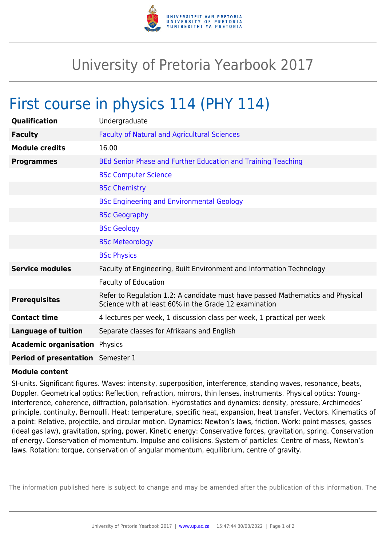

## University of Pretoria Yearbook 2017

## First course in physics 114 (PHY 114)

| Qualification                            | Undergraduate                                                                                                                           |
|------------------------------------------|-----------------------------------------------------------------------------------------------------------------------------------------|
| <b>Faculty</b>                           | <b>Faculty of Natural and Agricultural Sciences</b>                                                                                     |
| <b>Module credits</b>                    | 16.00                                                                                                                                   |
| <b>Programmes</b>                        | BEd Senior Phase and Further Education and Training Teaching                                                                            |
|                                          | <b>BSc Computer Science</b>                                                                                                             |
|                                          | <b>BSc Chemistry</b>                                                                                                                    |
|                                          | <b>BSc Engineering and Environmental Geology</b>                                                                                        |
|                                          | <b>BSc Geography</b>                                                                                                                    |
|                                          | <b>BSc Geology</b>                                                                                                                      |
|                                          | <b>BSc Meteorology</b>                                                                                                                  |
|                                          | <b>BSc Physics</b>                                                                                                                      |
| <b>Service modules</b>                   | Faculty of Engineering, Built Environment and Information Technology                                                                    |
|                                          | <b>Faculty of Education</b>                                                                                                             |
| <b>Prerequisites</b>                     | Refer to Regulation 1.2: A candidate must have passed Mathematics and Physical<br>Science with at least 60% in the Grade 12 examination |
| <b>Contact time</b>                      | 4 lectures per week, 1 discussion class per week, 1 practical per week                                                                  |
| <b>Language of tuition</b>               | Separate classes for Afrikaans and English                                                                                              |
| <b>Academic organisation Physics</b>     |                                                                                                                                         |
| <b>Period of presentation</b> Semester 1 |                                                                                                                                         |

## **Module content**

SI-units. Significant figures. Waves: intensity, superposition, interference, standing waves, resonance, beats, Doppler. Geometrical optics: Reflection, refraction, mirrors, thin lenses, instruments. Physical optics: Younginterference, coherence, diffraction, polarisation. Hydrostatics and dynamics: density, pressure, Archimedes' principle, continuity, Bernoulli. Heat: temperature, specific heat, expansion, heat transfer. Vectors. Kinematics of a point: Relative, projectile, and circular motion. Dynamics: Newton's laws, friction. Work: point masses, gasses (ideal gas law), gravitation, spring, power. Kinetic energy: Conservative forces, gravitation, spring. Conservation of energy. Conservation of momentum. Impulse and collisions. System of particles: Centre of mass, Newton's laws. Rotation: torque, conservation of angular momentum, equilibrium, centre of gravity.

The information published here is subject to change and may be amended after the publication of this information. The